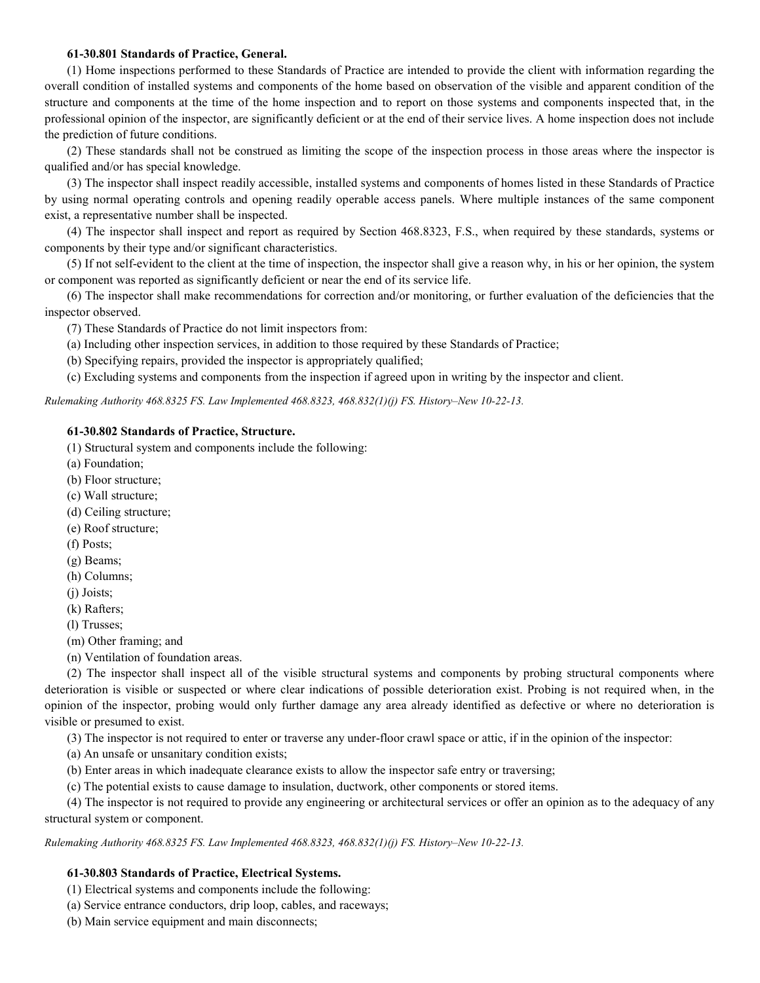### 61-30.801 Standards of Practice, General.

(1) Home inspections performed to these Standards of Practice are intended to provide the client with information regarding the overall condition of installed systems and components of the home based on observation of the visible and apparent condition of the structure and components at the time of the home inspection and to report on those systems and components inspected that, in the professional opinion of the inspector, are significantly deficient or at the end of their service lives. A home inspection does not include the prediction of future conditions.

(2) These standards shall not be construed as limiting the scope of the inspection process in those areas where the inspector is qualified and/or has special knowledge.

(3) The inspector shall inspect readily accessible, installed systems and components of homes listed in these Standards of Practice by using normal operating controls and opening readily operable access panels. Where multiple instances of the same component exist, a representative number shall be inspected.

(4) The inspector shall inspect and report as required by Section 468.8323, F.S., when required by these standards, systems or components by their type and/or significant characteristics.

(5) If not self-evident to the client at the time of inspection, the inspector shall give a reason why, in his or her opinion, the system or component was reported as significantly deficient or near the end of its service life.

(6) The inspector shall make recommendations for correction and/or monitoring, or further evaluation of the deficiencies that the inspector observed.

(7) These Standards of Practice do not limit inspectors from:

(a) Including other inspection services, in addition to those required by these Standards of Practice;

(b) Specifying repairs, provided the inspector is appropriately qualified;

(c) Excluding systems and components from the inspection if agreed upon in writing by the inspector and client.

Rulemaking Authority 468.8325 FS. Law Implemented 468.8323, 468.832(1)(j) FS. History-New 10-22-13.

#### 61-30.802 Standards of Practice, Structure.

(1) Structural system and components include the following:

(a) Foundation;

(b) Floor structure;

- (c) Wall structure;
- (d) Ceiling structure;
- (e) Roof structure;
- (f) Posts;
- (g) Beams;
- (h) Columns;
- (j) Joists;
- (k) Rafters;

(l) Trusses;

(m) Other framing; and

(n) Ventilation of foundation areas.

(2) The inspector shall inspect all of the visible structural systems and components by probing structural components where deterioration is visible or suspected or where clear indications of possible deterioration exist. Probing is not required when, in the opinion of the inspector, probing would only further damage any area already identified as defective or where no deterioration is visible or presumed to exist.

(3) The inspector is not required to enter or traverse any under-floor crawl space or attic, if in the opinion of the inspector:

(a) An unsafe or unsanitary condition exists;

- (b) Enter areas in which inadequate clearance exists to allow the inspector safe entry or traversing;
- (c) The potential exists to cause damage to insulation, ductwork, other components or stored items.

(4) The inspector is not required to provide any engineering or architectural services or offer an opinion as to the adequacy of any structural system or component.

Rulemaking Authority 468.8325 FS. Law Implemented 468.8323, 468.832(1)(j) FS. History–New 10-22-13.

# 61-30.803 Standards of Practice, Electrical Systems.

- (1) Electrical systems and components include the following:
- (a) Service entrance conductors, drip loop, cables, and raceways;
- (b) Main service equipment and main disconnects;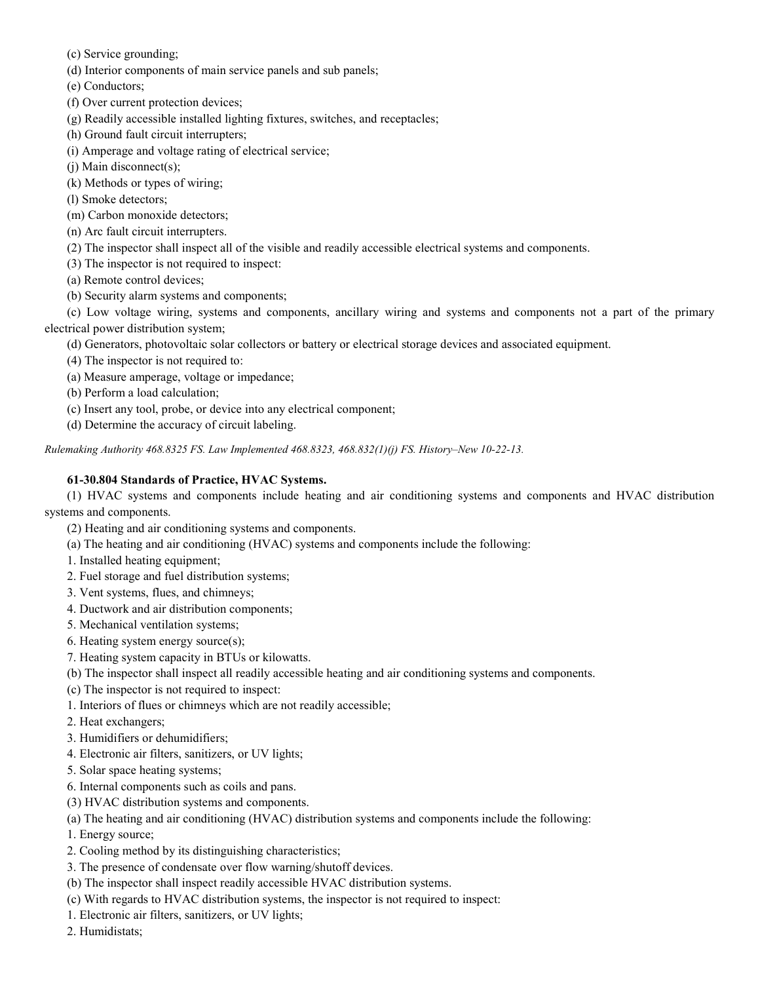- (c) Service grounding;
- (d) Interior components of main service panels and sub panels;

(e) Conductors;

- (f) Over current protection devices;
- (g) Readily accessible installed lighting fixtures, switches, and receptacles;
- (h) Ground fault circuit interrupters;
- (i) Amperage and voltage rating of electrical service;
- (j) Main disconnect(s);
- (k) Methods or types of wiring;
- (l) Smoke detectors;
- (m) Carbon monoxide detectors;
- (n) Arc fault circuit interrupters.
- (2) The inspector shall inspect all of the visible and readily accessible electrical systems and components.
- (3) The inspector is not required to inspect:
- (a) Remote control devices;
- (b) Security alarm systems and components;
- (c) Low voltage wiring, systems and components, ancillary wiring and systems and components not a part of the primary electrical power distribution system;
	- (d) Generators, photovoltaic solar collectors or battery or electrical storage devices and associated equipment.
	- (4) The inspector is not required to:
	- (a) Measure amperage, voltage or impedance;
	- (b) Perform a load calculation;
	- (c) Insert any tool, probe, or device into any electrical component;
	- (d) Determine the accuracy of circuit labeling.

Rulemaking Authority 468.8325 FS. Law Implemented 468.8323, 468.832(1)(j) FS. History-New 10-22-13.

### 61-30.804 Standards of Practice, HVAC Systems.

(1) HVAC systems and components include heating and air conditioning systems and components and HVAC distribution systems and components.

- (2) Heating and air conditioning systems and components.
- (a) The heating and air conditioning (HVAC) systems and components include the following:
- 1. Installed heating equipment;
- 2. Fuel storage and fuel distribution systems;
- 3. Vent systems, flues, and chimneys;
- 4. Ductwork and air distribution components;
- 5. Mechanical ventilation systems;
- 6. Heating system energy source(s);
- 7. Heating system capacity in BTUs or kilowatts.
- (b) The inspector shall inspect all readily accessible heating and air conditioning systems and components.
- (c) The inspector is not required to inspect:
- 1. Interiors of flues or chimneys which are not readily accessible;
- 2. Heat exchangers;
- 3. Humidifiers or dehumidifiers;
- 4. Electronic air filters, sanitizers, or UV lights;
- 5. Solar space heating systems;
- 6. Internal components such as coils and pans.
- (3) HVAC distribution systems and components.
- (a) The heating and air conditioning (HVAC) distribution systems and components include the following:
- 1. Energy source;
- 2. Cooling method by its distinguishing characteristics;
- 3. The presence of condensate over flow warning/shutoff devices.
- (b) The inspector shall inspect readily accessible HVAC distribution systems.
- (c) With regards to HVAC distribution systems, the inspector is not required to inspect:
- 1. Electronic air filters, sanitizers, or UV lights;
- 2. Humidistats;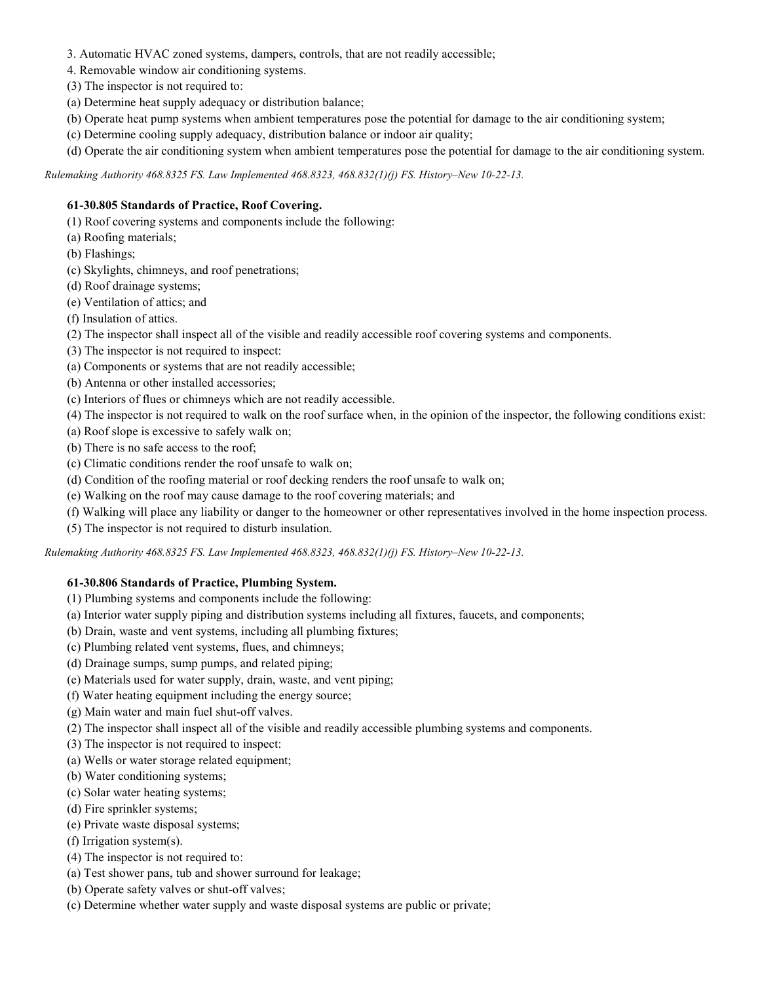- 3. Automatic HVAC zoned systems, dampers, controls, that are not readily accessible;
- 4. Removable window air conditioning systems.
- (3) The inspector is not required to:
- (a) Determine heat supply adequacy or distribution balance;
- (b) Operate heat pump systems when ambient temperatures pose the potential for damage to the air conditioning system;
- (c) Determine cooling supply adequacy, distribution balance or indoor air quality;
- (d) Operate the air conditioning system when ambient temperatures pose the potential for damage to the air conditioning system.

Rulemaking Authority 468.8325 FS. Law Implemented 468.8323, 468.832(1)(j) FS. History-New 10-22-13.

# 61-30.805 Standards of Practice, Roof Covering.

- (1) Roof covering systems and components include the following:
- (a) Roofing materials;
- (b) Flashings;
- (c) Skylights, chimneys, and roof penetrations;
- (d) Roof drainage systems;
- (e) Ventilation of attics; and
- (f) Insulation of attics.
- (2) The inspector shall inspect all of the visible and readily accessible roof covering systems and components.
- (3) The inspector is not required to inspect:
- (a) Components or systems that are not readily accessible;
- (b) Antenna or other installed accessories;
- (c) Interiors of flues or chimneys which are not readily accessible.
- (4) The inspector is not required to walk on the roof surface when, in the opinion of the inspector, the following conditions exist:
- (a) Roof slope is excessive to safely walk on;
- (b) There is no safe access to the roof;
- (c) Climatic conditions render the roof unsafe to walk on;
- (d) Condition of the roofing material or roof decking renders the roof unsafe to walk on;
- (e) Walking on the roof may cause damage to the roof covering materials; and
- (f) Walking will place any liability or danger to the homeowner or other representatives involved in the home inspection process.
- (5) The inspector is not required to disturb insulation.

Rulemaking Authority 468.8325 FS. Law Implemented 468.8323, 468.832(1)(j) FS. History-New 10-22-13.

# 61-30.806 Standards of Practice, Plumbing System.

- (1) Plumbing systems and components include the following:
- (a) Interior water supply piping and distribution systems including all fixtures, faucets, and components;
- (b) Drain, waste and vent systems, including all plumbing fixtures;
- (c) Plumbing related vent systems, flues, and chimneys;
- (d) Drainage sumps, sump pumps, and related piping;
- (e) Materials used for water supply, drain, waste, and vent piping;
- (f) Water heating equipment including the energy source;
- (g) Main water and main fuel shut-off valves.
- (2) The inspector shall inspect all of the visible and readily accessible plumbing systems and components.
- (3) The inspector is not required to inspect:
- (a) Wells or water storage related equipment;
- (b) Water conditioning systems;
- (c) Solar water heating systems;
- (d) Fire sprinkler systems;
- (e) Private waste disposal systems;
- (f) Irrigation system(s).
- (4) The inspector is not required to:
- (a) Test shower pans, tub and shower surround for leakage;
- (b) Operate safety valves or shut-off valves;
- (c) Determine whether water supply and waste disposal systems are public or private;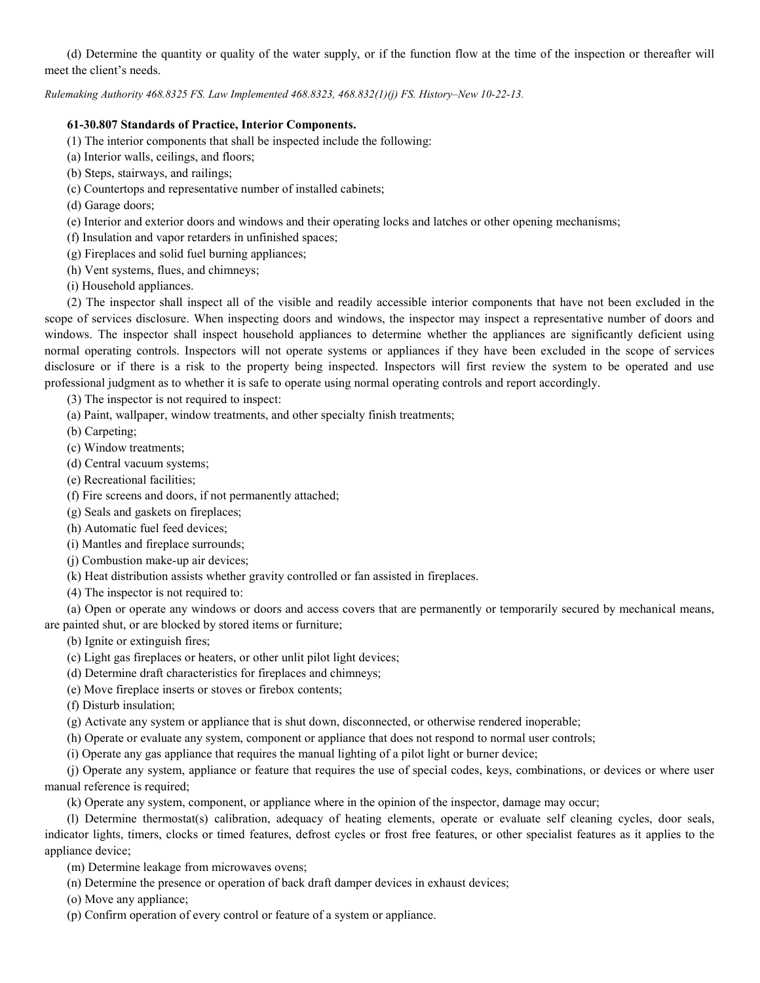(d) Determine the quantity or quality of the water supply, or if the function flow at the time of the inspection or thereafter will meet the client's needs.

Rulemaking Authority 468.8325 FS. Law Implemented 468.8323, 468.832(1)(j) FS. History-New 10-22-13.

### 61-30.807 Standards of Practice, Interior Components.

- (1) The interior components that shall be inspected include the following:
- (a) Interior walls, ceilings, and floors;
- (b) Steps, stairways, and railings;
- (c) Countertops and representative number of installed cabinets;
- (d) Garage doors;
- (e) Interior and exterior doors and windows and their operating locks and latches or other opening mechanisms;
- (f) Insulation and vapor retarders in unfinished spaces;
- (g) Fireplaces and solid fuel burning appliances;
- (h) Vent systems, flues, and chimneys;
- (i) Household appliances.

(2) The inspector shall inspect all of the visible and readily accessible interior components that have not been excluded in the scope of services disclosure. When inspecting doors and windows, the inspector may inspect a representative number of doors and windows. The inspector shall inspect household appliances to determine whether the appliances are significantly deficient using normal operating controls. Inspectors will not operate systems or appliances if they have been excluded in the scope of services disclosure or if there is a risk to the property being inspected. Inspectors will first review the system to be operated and use professional judgment as to whether it is safe to operate using normal operating controls and report accordingly.

(3) The inspector is not required to inspect:

- (a) Paint, wallpaper, window treatments, and other specialty finish treatments;
- (b) Carpeting;
- (c) Window treatments;
- (d) Central vacuum systems;
- (e) Recreational facilities;
- (f) Fire screens and doors, if not permanently attached;
- (g) Seals and gaskets on fireplaces;
- (h) Automatic fuel feed devices;
- (i) Mantles and fireplace surrounds;
- (j) Combustion make-up air devices;
- (k) Heat distribution assists whether gravity controlled or fan assisted in fireplaces.
- (4) The inspector is not required to:

(a) Open or operate any windows or doors and access covers that are permanently or temporarily secured by mechanical means, are painted shut, or are blocked by stored items or furniture;

- (b) Ignite or extinguish fires;
- (c) Light gas fireplaces or heaters, or other unlit pilot light devices;
- (d) Determine draft characteristics for fireplaces and chimneys;
- (e) Move fireplace inserts or stoves or firebox contents;

(f) Disturb insulation;

(g) Activate any system or appliance that is shut down, disconnected, or otherwise rendered inoperable;

- (h) Operate or evaluate any system, component or appliance that does not respond to normal user controls;
- (i) Operate any gas appliance that requires the manual lighting of a pilot light or burner device;

(j) Operate any system, appliance or feature that requires the use of special codes, keys, combinations, or devices or where user manual reference is required;

(k) Operate any system, component, or appliance where in the opinion of the inspector, damage may occur;

(l) Determine thermostat(s) calibration, adequacy of heating elements, operate or evaluate self cleaning cycles, door seals, indicator lights, timers, clocks or timed features, defrost cycles or frost free features, or other specialist features as it applies to the appliance device;

(m) Determine leakage from microwaves ovens;

(n) Determine the presence or operation of back draft damper devices in exhaust devices;

(o) Move any appliance;

(p) Confirm operation of every control or feature of a system or appliance.